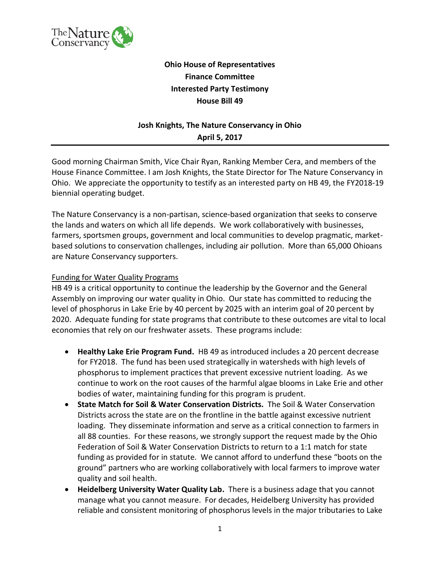

# **Ohio House of Representatives Finance Committee Interested Party Testimony House Bill 49**

# **Josh Knights, The Nature Conservancy in Ohio April 5, 2017**

Good morning Chairman Smith, Vice Chair Ryan, Ranking Member Cera, and members of the House Finance Committee. I am Josh Knights, the State Director for The Nature Conservancy in Ohio. We appreciate the opportunity to testify as an interested party on HB 49, the FY2018-19 biennial operating budget.

The Nature Conservancy is a non-partisan, science-based organization that seeks to conserve the lands and waters on which all life depends. We work collaboratively with businesses, farmers, sportsmen groups, government and local communities to develop pragmatic, marketbased solutions to conservation challenges, including air pollution. More than 65,000 Ohioans are Nature Conservancy supporters.

### Funding for Water Quality Programs

HB 49 is a critical opportunity to continue the leadership by the Governor and the General Assembly on improving our water quality in Ohio. Our state has committed to reducing the level of phosphorus in Lake Erie by 40 percent by 2025 with an interim goal of 20 percent by 2020. Adequate funding for state programs that contribute to these outcomes are vital to local economies that rely on our freshwater assets. These programs include:

- **Healthy Lake Erie Program Fund.** HB 49 as introduced includes a 20 percent decrease for FY2018. The fund has been used strategically in watersheds with high levels of phosphorus to implement practices that prevent excessive nutrient loading. As we continue to work on the root causes of the harmful algae blooms in Lake Erie and other bodies of water, maintaining funding for this program is prudent.
- **State Match for Soil & Water Conservation Districts.** The Soil & Water Conservation Districts across the state are on the frontline in the battle against excessive nutrient loading. They disseminate information and serve as a critical connection to farmers in all 88 counties. For these reasons, we strongly support the request made by the Ohio Federation of Soil & Water Conservation Districts to return to a 1:1 match for state funding as provided for in statute. We cannot afford to underfund these "boots on the ground" partners who are working collaboratively with local farmers to improve water quality and soil health.
- **Heidelberg University Water Quality Lab.** There is a business adage that you cannot manage what you cannot measure. For decades, Heidelberg University has provided reliable and consistent monitoring of phosphorus levels in the major tributaries to Lake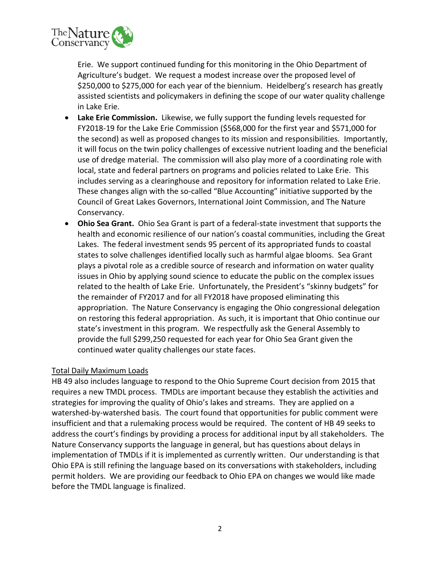

Erie. We support continued funding for this monitoring in the Ohio Department of Agriculture's budget. We request a modest increase over the proposed level of \$250,000 to \$275,000 for each year of the biennium. Heidelberg's research has greatly assisted scientists and policymakers in defining the scope of our water quality challenge in Lake Erie.

- **Lake Erie Commission.** Likewise, we fully support the funding levels requested for FY2018-19 for the Lake Erie Commission (\$568,000 for the first year and \$571,000 for the second) as well as proposed changes to its mission and responsibilities. Importantly, it will focus on the twin policy challenges of excessive nutrient loading and the beneficial use of dredge material. The commission will also play more of a coordinating role with local, state and federal partners on programs and policies related to Lake Erie. This includes serving as a clearinghouse and repository for information related to Lake Erie. These changes align with the so-called "Blue Accounting" initiative supported by the Council of Great Lakes Governors, International Joint Commission, and The Nature Conservancy.
- **Ohio Sea Grant.** Ohio Sea Grant is part of a federal-state investment that supports the health and economic resilience of our nation's coastal communities, including the Great Lakes. The federal investment sends 95 percent of its appropriated funds to coastal states to solve challenges identified locally such as harmful algae blooms. Sea Grant plays a pivotal role as a credible source of research and information on water quality issues in Ohio by applying sound science to educate the public on the complex issues related to the health of Lake Erie. Unfortunately, the President's "skinny budgets" for the remainder of FY2017 and for all FY2018 have proposed eliminating this appropriation. The Nature Conservancy is engaging the Ohio congressional delegation on restoring this federal appropriation. As such, it is important that Ohio continue our state's investment in this program. We respectfully ask the General Assembly to provide the full \$299,250 requested for each year for Ohio Sea Grant given the continued water quality challenges our state faces.

### Total Daily Maximum Loads

HB 49 also includes language to respond to the Ohio Supreme Court decision from 2015 that requires a new TMDL process. TMDLs are important because they establish the activities and strategies for improving the quality of Ohio's lakes and streams. They are applied on a watershed-by-watershed basis. The court found that opportunities for public comment were insufficient and that a rulemaking process would be required. The content of HB 49 seeks to address the court's findings by providing a process for additional input by all stakeholders. The Nature Conservancy supports the language in general, but has questions about delays in implementation of TMDLs if it is implemented as currently written. Our understanding is that Ohio EPA is still refining the language based on its conversations with stakeholders, including permit holders. We are providing our feedback to Ohio EPA on changes we would like made before the TMDL language is finalized.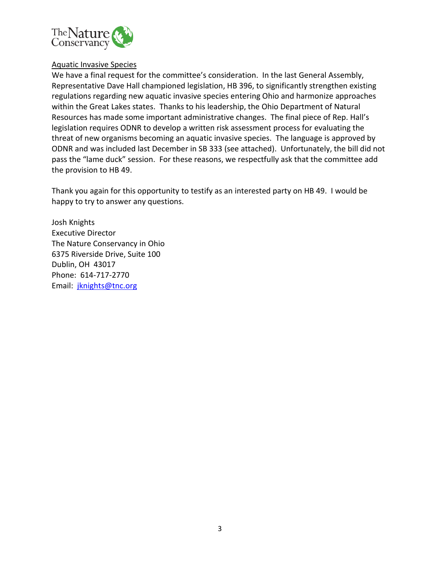

### Aquatic Invasive Species

We have a final request for the committee's consideration. In the last General Assembly, Representative Dave Hall championed legislation, HB 396, to significantly strengthen existing regulations regarding new aquatic invasive species entering Ohio and harmonize approaches within the Great Lakes states. Thanks to his leadership, the Ohio Department of Natural Resources has made some important administrative changes. The final piece of Rep. Hall's legislation requires ODNR to develop a written risk assessment process for evaluating the threat of new organisms becoming an aquatic invasive species. The language is approved by ODNR and was included last December in SB 333 (see attached). Unfortunately, the bill did not pass the "lame duck" session. For these reasons, we respectfully ask that the committee add the provision to HB 49.

Thank you again for this opportunity to testify as an interested party on HB 49. I would be happy to try to answer any questions.

Josh Knights Executive Director The Nature Conservancy in Ohio 6375 Riverside Drive, Suite 100 Dublin, OH 43017 Phone: 614-717-2770 Email: [jknights@tnc.org](mailto:jknights@tnc.org)